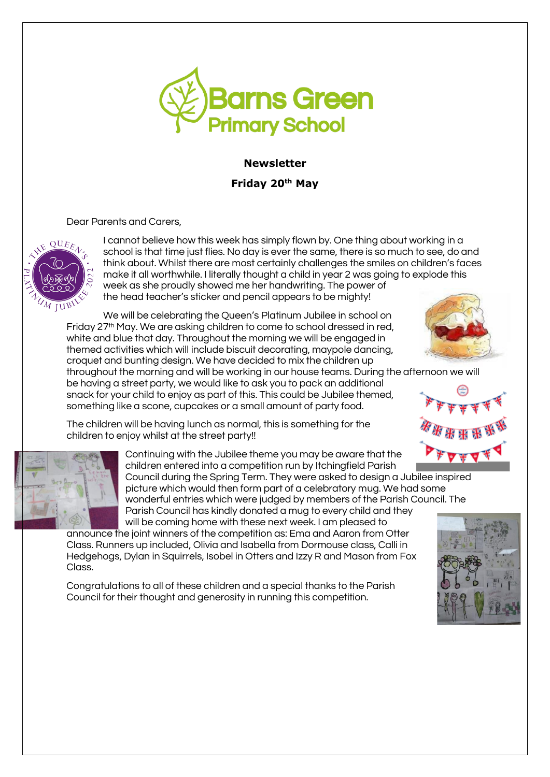

# **Newsletter**

**Friday 20th May** 

Dear Parents and Carers,



I cannot believe how this week has simply flown by. One thing about working in a school is that time just flies. No day is ever the same, there is so much to see, do and think about. Whilst there are most certainly challenges the smiles on children's faces make it all worthwhile. I literally thought a child in year 2 was going to explode this week as she proudly showed me her handwriting. The power of the head teacher's sticker and pencil appears to be mighty!

We will be celebrating the Queen's Platinum Jubilee in school on Friday 27th May. We are asking children to come to school dressed in red, white and blue that day. Throughout the morning we will be engaged in themed activities which will include biscuit decorating, maypole dancing, croquet and bunting design. We have decided to mix the children up

throughout the morning and will be working in our house teams. During the afternoon we will be having a street party, we would like to ask you to pack an additional

snack for your child to enjoy as part of this. This could be Jubilee themed, something like a scone, cupcakes or a small amount of party food.

The children will be having lunch as normal, this is something for the

children to enjoy whilst at the street party!!





Continuing with the Jubilee theme you may be aware that the children entered into a competition run by Itchingfield Parish Council during the Spring Term. They were asked to design a Jubilee inspired picture which would then form part of a celebratory mug. We had some wonderful entries which were judged by members of the Parish Council. The Parish Council has kindly donated a mug to every child and they

will be coming home with these next week. I am pleased to

announce the joint winners of the competition as: Ema and Aaron from Otter Class. Runners up included, Olivia and Isabella from Dormouse class, Calli in Hedgehogs, Dylan in Squirrels, Isobel in Otters and Izzy R and Mason from Fox Class.

Congratulations to all of these children and a special thanks to the Parish Council for their thought and generosity in running this competition.

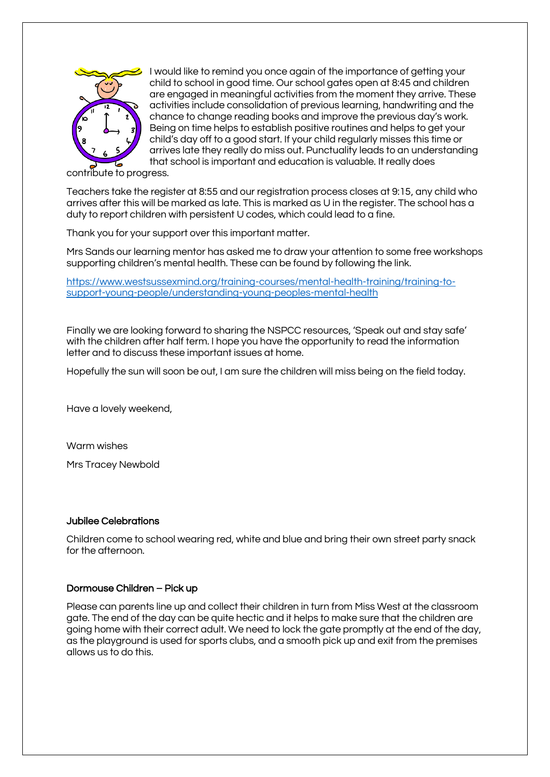

I would like to remind you once again of the importance of getting your child to school in good time. Our school gates open at 8:45 and children are engaged in meaningful activities from the moment they arrive. These activities include consolidation of previous learning, handwriting and the chance to change reading books and improve the previous day's work. Being on time helps to establish positive routines and helps to get your child's day off to a good start. If your child regularly misses this time or arrives late they really do miss out. Punctuality leads to an understanding that school is important and education is valuable. It really does

contribute to progress.

Teachers take the register at 8:55 and our registration process closes at 9:15, any child who arrives after this will be marked as late. This is marked as U in the register. The school has a duty to report children with persistent U codes, which could lead to a fine.

Thank you for your support over this important matter.

Mrs Sands our learning mentor has asked me to draw your attention to some free workshops supporting children's mental health. These can be found by following the link.

[https://www.westsussexmind.org/training-courses/mental-health-training/training-to](https://www.westsussexmind.org/training-courses/mental-health-training/training-to-support-young-people/understanding-young-peoples-mental-health)[support-young-people/understanding-young-peoples-mental-health](https://www.westsussexmind.org/training-courses/mental-health-training/training-to-support-young-people/understanding-young-peoples-mental-health)

Finally we are looking forward to sharing the NSPCC resources, 'Speak out and stay safe' with the children after half term. I hope you have the opportunity to read the information letter and to discuss these important issues at home.

Hopefully the sun will soon be out, I am sure the children will miss being on the field today.

Have a lovely weekend,

Warm wishes

Mrs Tracey Newbold

#### Jubilee Celebrations

Children come to school wearing red, white and blue and bring their own street party snack for the afternoon.

#### Dormouse Children – Pick up

Please can parents line up and collect their children in turn from Miss West at the classroom gate. The end of the day can be quite hectic and it helps to make sure that the children are going home with their correct adult. We need to lock the gate promptly at the end of the day, as the playground is used for sports clubs, and a smooth pick up and exit from the premises allows us to do this.